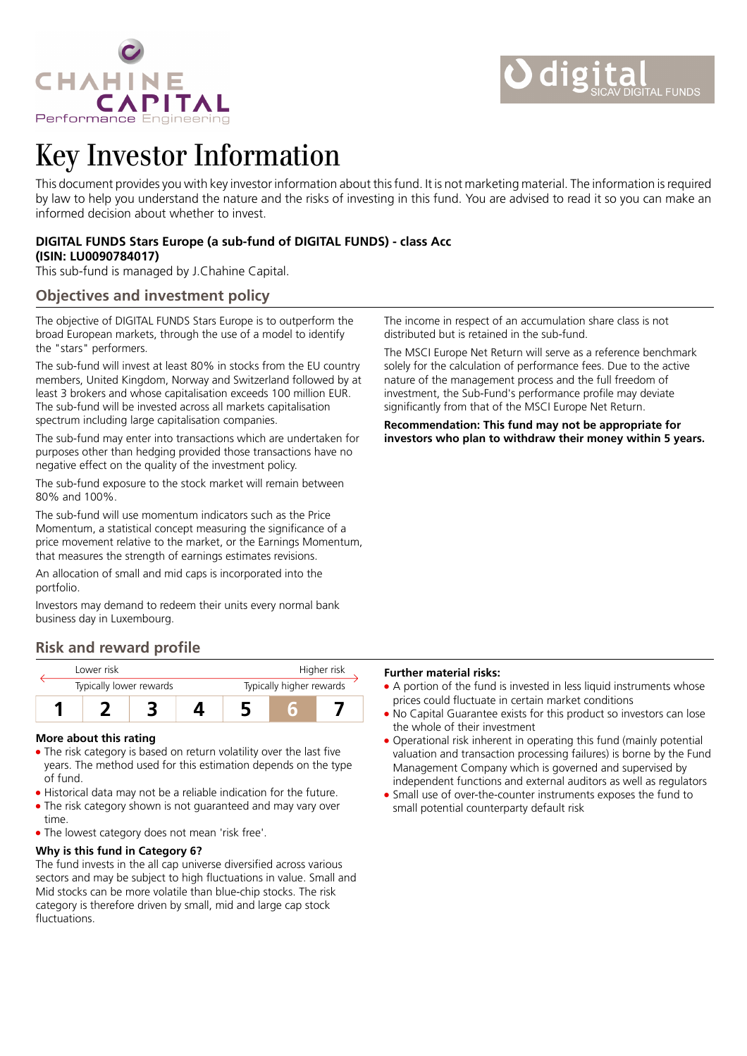

# Key Investor Information

This document provides you with key investor information about this fund. It is not marketing material. The information is required by law to help you understand the nature and the risks of investing in this fund. You are advised to read it so you can make an informed decision about whether to invest.

## **DIGITAL FUNDS Stars Europe (a sub-fund of DIGITAL FUNDS) - class Acc (ISIN: LU0090784017)**

This sub-fund is managed by J.Chahine Capital.

# **Objectives and investment policy**

The objective of DIGITAL FUNDS Stars Europe is to outperform the broad European markets, through the use of a model to identify the "stars" performers.

The sub-fund will invest at least 80% in stocks from the EU country members, United Kingdom, Norway and Switzerland followed by at least 3 brokers and whose capitalisation exceeds 100 million EUR. The sub-fund will be invested across all markets capitalisation spectrum including large capitalisation companies.

The sub-fund may enter into transactions which are undertaken for purposes other than hedging provided those transactions have no negative effect on the quality of the investment policy.

The sub-fund exposure to the stock market will remain between 80% and 100%.

The sub-fund will use momentum indicators such as the Price Momentum, a statistical concept measuring the significance of a price movement relative to the market, or the Earnings Momentum, that measures the strength of earnings estimates revisions.

An allocation of small and mid caps is incorporated into the portfolio.

Investors may demand to redeem their units every normal bank business day in Luxembourg.

# **Risk and reward profile**

| I ower risk             |  |  |                          | Higher risk |  |  |
|-------------------------|--|--|--------------------------|-------------|--|--|
| Typically lower rewards |  |  | Typically higher rewards |             |  |  |
|                         |  |  |                          |             |  |  |

#### **More about this rating**

- The risk category is based on return volatility over the last five years. The method used for this estimation depends on the type of fund.
- Historical data may not be a reliable indication for the future.
- The risk category shown is not guaranteed and may vary over time.
- The lowest category does not mean 'risk free'.

### **Why is this fund in Category 6?**

The fund invests in the all cap universe diversified across various sectors and may be subject to high fluctuations in value. Small and Mid stocks can be more volatile than blue-chip stocks. The risk category is therefore driven by small, mid and large cap stock fluctuations.

The income in respect of an accumulation share class is not distributed but is retained in the sub-fund.

The MSCI Europe Net Return will serve as a reference benchmark solely for the calculation of performance fees. Due to the active nature of the management process and the full freedom of investment, the Sub-Fund's performance profile may deviate significantly from that of the MSCI Europe Net Return.

**Recommendation: This fund may not be appropriate for investors who plan to withdraw their money within 5 years.**

#### **Further material risks:**

- A portion of the fund is invested in less liquid instruments whose prices could fluctuate in certain market conditions
- No Capital Guarantee exists for this product so investors can lose the whole of their investment
- Operational risk inherent in operating this fund (mainly potential valuation and transaction processing failures) is borne by the Fund Management Company which is governed and supervised by independent functions and external auditors as well as regulators
- Small use of over-the-counter instruments exposes the fund to small potential counterparty default risk